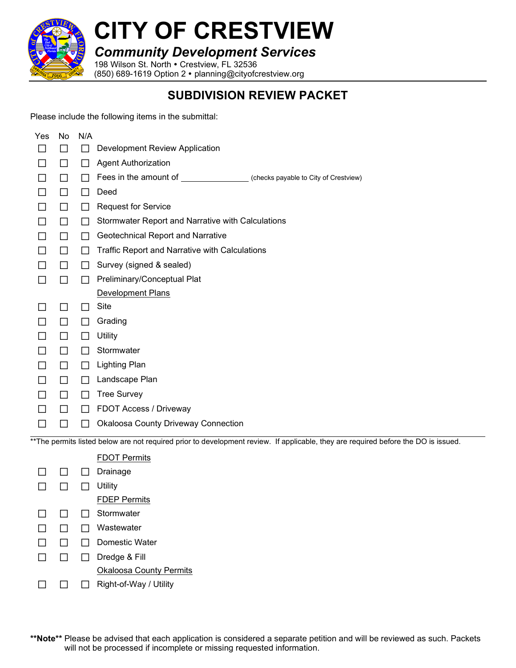

*Community Development Services* 

198 Wilson St. North • Crestview, FL 32536 (850) 689-1619 Option 2 planning@cityofcrestview.org

## **SUBDIVISION REVIEW PACKET**

Please include the following items in the submittal:

| Yes          | No     | N/A          |                                                                                                                                     |
|--------------|--------|--------------|-------------------------------------------------------------------------------------------------------------------------------------|
| ΙI           | $\Box$ | ΙI           | Development Review Application                                                                                                      |
|              | $\Box$ | ⊔            | <b>Agent Authorization</b>                                                                                                          |
|              | $\Box$ | $\Box$       | Fees in the amount of ______________________ (checks payable to City of Crestview)                                                  |
|              | $\Box$ | $\Box$       | Deed                                                                                                                                |
| $\Box$       | $\Box$ | $\Box$       | <b>Request for Service</b>                                                                                                          |
|              | $\Box$ | ப            | Stormwater Report and Narrative with Calculations                                                                                   |
|              | $\Box$ | □            | Geotechnical Report and Narrative                                                                                                   |
|              | $\Box$ | H            | Traffic Report and Narrative with Calculations                                                                                      |
| П            | $\Box$ | $\Box$       | Survey (signed & sealed)                                                                                                            |
| $\Box$       | $\Box$ | $\mathsf{L}$ | Preliminary/Conceptual Plat                                                                                                         |
|              |        |              | <b>Development Plans</b>                                                                                                            |
|              | □      | ⊔            | Site                                                                                                                                |
|              | $\Box$ | Ħ            | Grading                                                                                                                             |
|              | $\Box$ | ⊔            | <b>Utility</b>                                                                                                                      |
|              | $\Box$ | $\Box$       | Stormwater                                                                                                                          |
| $\mathsf{L}$ | $\Box$ | $\Box$       | <b>Lighting Plan</b>                                                                                                                |
| ΙI           | $\Box$ | $\Box$       | Landscape Plan                                                                                                                      |
| П            | $\Box$ | $\Box$       | <b>Tree Survey</b>                                                                                                                  |
| ΙI           | $\Box$ | □            | FDOT Access / Driveway                                                                                                              |
| $\Box$       | $\Box$ | $\perp$      | <b>Okaloosa County Driveway Connection</b>                                                                                          |
|              |        |              | ** The permits listed below are not required prior to development review. If applicable, they are required before the DO is issued. |
|              |        |              | <b>FDOT Permits</b>                                                                                                                 |
|              | $\Box$ |              | Drainage                                                                                                                            |
| ΙI           | $\Box$ |              | Utility                                                                                                                             |
|              |        |              | <b>FDEP Permits</b>                                                                                                                 |
|              | $\Box$ |              | Stormwater                                                                                                                          |
|              | П      |              | Wastewater                                                                                                                          |
|              | $\Box$ |              | Domestic Water                                                                                                                      |
| ΙI           | $\Box$ | $\mathsf{L}$ | Dredge & Fill                                                                                                                       |
|              |        |              | <b>Okaloosa County Permits</b>                                                                                                      |
|              | $\sim$ |              | Right-of-Way / Utility                                                                                                              |
|              |        |              |                                                                                                                                     |

**\*\*Note\*\*** Please be advised that each application is considered a separate petition and will be reviewed as such. Packets will not be processed if incomplete or missing requested information.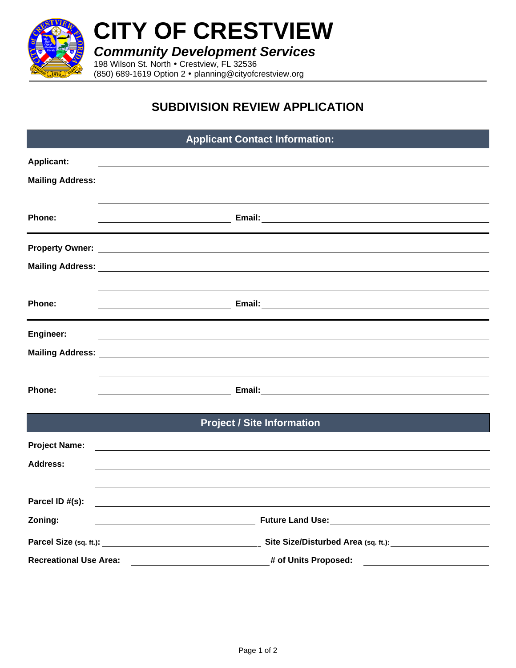

*Community Development Services*

198 Wilson St. North . Crestview, FL 32536 (850) 689-1619 Option 2 planning@cityofcrestview.org

### **SUBDIVISION REVIEW APPLICATION**

### **Applicant Contact Information:**

| <b>Applicant:</b>             |                                                                                                                                                                                                                                                              |  |  |
|-------------------------------|--------------------------------------------------------------------------------------------------------------------------------------------------------------------------------------------------------------------------------------------------------------|--|--|
|                               |                                                                                                                                                                                                                                                              |  |  |
|                               |                                                                                                                                                                                                                                                              |  |  |
| Phone:                        |                                                                                                                                                                                                                                                              |  |  |
|                               |                                                                                                                                                                                                                                                              |  |  |
|                               |                                                                                                                                                                                                                                                              |  |  |
|                               |                                                                                                                                                                                                                                                              |  |  |
|                               |                                                                                                                                                                                                                                                              |  |  |
| Phone:                        |                                                                                                                                                                                                                                                              |  |  |
|                               |                                                                                                                                                                                                                                                              |  |  |
| <b>Engineer:</b>              | <u> 1980 - Johann Stoff, deutscher Stoffen und der Stoffen und der Stoffen und der Stoffen und der Stoffen und der</u>                                                                                                                                       |  |  |
|                               |                                                                                                                                                                                                                                                              |  |  |
|                               |                                                                                                                                                                                                                                                              |  |  |
| Phone:                        |                                                                                                                                                                                                                                                              |  |  |
|                               |                                                                                                                                                                                                                                                              |  |  |
|                               | <b>Project / Site Information</b>                                                                                                                                                                                                                            |  |  |
| <b>Project Name:</b>          | <u> 1980 - Johann Barn, fransk politik (f. 1980)</u>                                                                                                                                                                                                         |  |  |
| <b>Address:</b>               |                                                                                                                                                                                                                                                              |  |  |
|                               |                                                                                                                                                                                                                                                              |  |  |
| Parcel ID #(s):               |                                                                                                                                                                                                                                                              |  |  |
| Zoning:                       |                                                                                                                                                                                                                                                              |  |  |
|                               |                                                                                                                                                                                                                                                              |  |  |
| <b>Recreational Use Area:</b> | # of Units Proposed:<br><u>and the community of the community of the community of the community of the community of the community of the community of the community of the community of the community of the community of the community of the community</u> |  |  |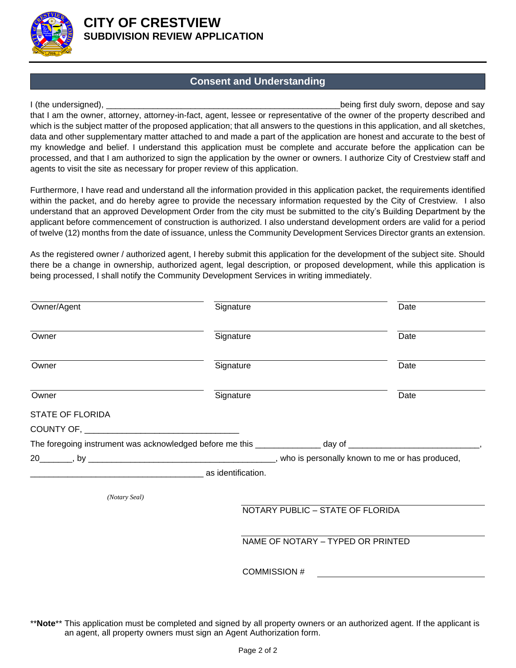

### **Consent and Understanding**

I (the undersigned), **Example 2** is a set of the undersigned),  $\frac{1}{2}$  being first duly sworn, depose and say that I am the owner, attorney, attorney-in-fact, agent, lessee or representative of the owner of the property described and which is the subject matter of the proposed application; that all answers to the questions in this application, and all sketches, data and other supplementary matter attached to and made a part of the application are honest and accurate to the best of my knowledge and belief. I understand this application must be complete and accurate before the application can be processed, and that I am authorized to sign the application by the owner or owners. I authorize City of Crestview staff and agents to visit the site as necessary for proper review of this application.

Furthermore, I have read and understand all the information provided in this application packet, the requirements identified within the packet, and do hereby agree to provide the necessary information requested by the City of Crestview. I also understand that an approved Development Order from the city must be submitted to the city's Building Department by the applicant before commencement of construction is authorized. I also understand development orders are valid for a period of twelve (12) months from the date of issuance, unless the Community Development Services Director grants an extension.

As the registered owner / authorized agent, I hereby submit this application for the development of the subject site. Should there be a change in ownership, authorized agent, legal description, or proposed development, while this application is being processed, I shall notify the Community Development Services in writing immediately.

| Owner/Agent             | Signature                                                                                                      | Date |  |  |
|-------------------------|----------------------------------------------------------------------------------------------------------------|------|--|--|
| Owner                   | Signature                                                                                                      | Date |  |  |
| Owner                   | Signature                                                                                                      | Date |  |  |
| Owner                   | Signature                                                                                                      | Date |  |  |
| <b>STATE OF FLORIDA</b> |                                                                                                                |      |  |  |
|                         |                                                                                                                |      |  |  |
|                         | The foregoing instrument was acknowledged before me this _____________ day of _______________________________, |      |  |  |
|                         |                                                                                                                |      |  |  |
|                         |                                                                                                                |      |  |  |
| (Notary Seal)           |                                                                                                                |      |  |  |
|                         | NOTARY PUBLIC - STATE OF FLORIDA                                                                               |      |  |  |
|                         | NAME OF NOTARY - TYPED OR PRINTED                                                                              |      |  |  |
|                         | <b>COMMISSION #</b>                                                                                            |      |  |  |

\*\***Note**\*\* This application must be completed and signed by all property owners or an authorized agent. If the applicant is an agent, all property owners must sign an Agent Authorization form.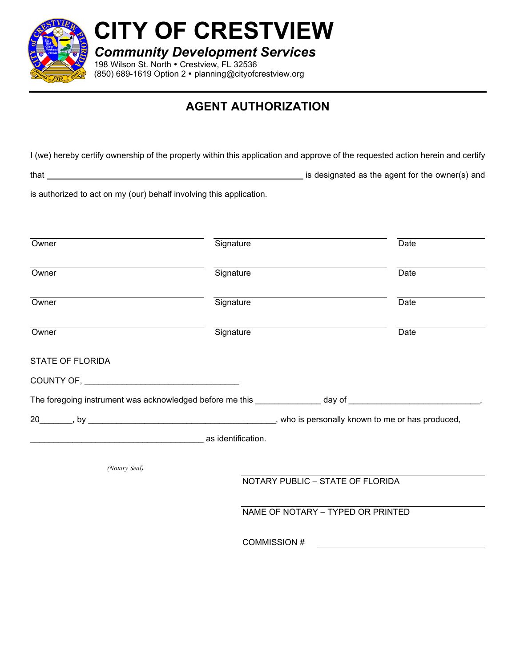

*Community Development Services*

198 Wilson St. North . Crestview, FL 32536 (850) 689-1619 Option 2 planning@cityofcrestview.org

## **AGENT AUTHORIZATION**

I (we) hereby certify ownership of the property within this application and approve of the requested action herein and certify

that **intervalse and is designated as the agent for the owner(s)** and

is authorized to act on my (our) behalf involving this application.

| Signature                                                                                                                                                                                                                            | Date |  |  |
|--------------------------------------------------------------------------------------------------------------------------------------------------------------------------------------------------------------------------------------|------|--|--|
| Signature                                                                                                                                                                                                                            | Date |  |  |
| Signature                                                                                                                                                                                                                            | Date |  |  |
| Signature                                                                                                                                                                                                                            | Date |  |  |
|                                                                                                                                                                                                                                      |      |  |  |
|                                                                                                                                                                                                                                      |      |  |  |
| The foregoing instrument was acknowledged before me this only and and day of                                                                                                                                                         |      |  |  |
|                                                                                                                                                                                                                                      |      |  |  |
| <b>All School Control Control Control Control Control Control Control Control Control Control Control Control Control Control Control Control Control Control Control Control Control Control Control Control Control Control Co</b> |      |  |  |
|                                                                                                                                                                                                                                      |      |  |  |
| NOTARY PUBLIC - STATE OF FLORIDA                                                                                                                                                                                                     |      |  |  |
| NAME OF NOTARY - TYPED OR PRINTED                                                                                                                                                                                                    |      |  |  |
|                                                                                                                                                                                                                                      |      |  |  |

COMMISSION #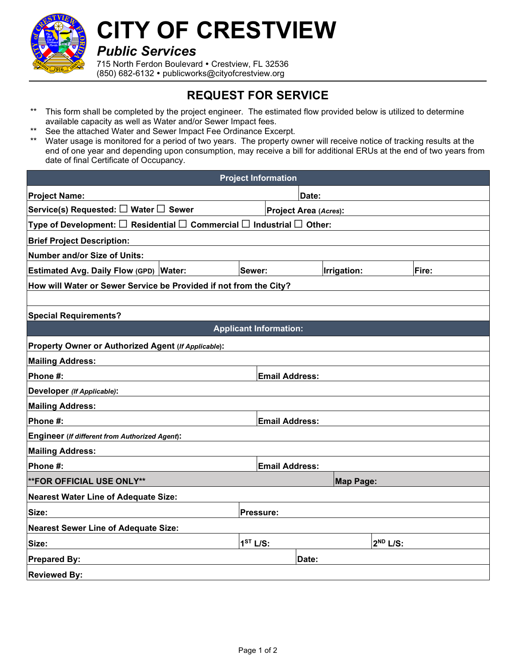

### *Public Services*

715 North Ferdon Boulevard • Crestview, FL 32536 (850) 682-6132 publicworks@cityofcrestview.org

### **REQUEST FOR SERVICE**

- \*\* This form shall be completed by the project engineer. The estimated flow provided below is utilized to determine available capacity as well as Water and/or Sewer Impact fees.
- \*\* See the attached Water and Sewer Impact Fee Ordinance Excerpt.<br>\*\* Water usage is monitored for a period of two years. The property of
- Water usage is monitored for a period of two years. The property owner will receive notice of tracking results at the end of one year and depending upon consumption, may receive a bill for additional ERUs at the end of two years from date of final Certificate of Occupancy.

| <b>Project Information</b>                                                                            |                               |       |             |                      |       |  |
|-------------------------------------------------------------------------------------------------------|-------------------------------|-------|-------------|----------------------|-------|--|
| <b>Project Name:</b>                                                                                  |                               | Date: |             |                      |       |  |
| Service(s) Requested: □ Water □ Sewer<br>Project Area (Acres):                                        |                               |       |             |                      |       |  |
| Type of Development: $\square$ Residential $\square$ Commercial $\square$ Industrial $\square$ Other: |                               |       |             |                      |       |  |
| <b>Brief Project Description:</b>                                                                     |                               |       |             |                      |       |  |
| <b>Number and/or Size of Units:</b>                                                                   |                               |       |             |                      |       |  |
| Estimated Avg. Daily Flow (GPD) Water:                                                                | Sewer:                        |       | Irrigation: |                      | Fire: |  |
| How will Water or Sewer Service be Provided if not from the City?                                     |                               |       |             |                      |       |  |
|                                                                                                       |                               |       |             |                      |       |  |
| <b>Special Requirements?</b>                                                                          |                               |       |             |                      |       |  |
|                                                                                                       | <b>Applicant Information:</b> |       |             |                      |       |  |
| Property Owner or Authorized Agent (If Applicable):                                                   |                               |       |             |                      |       |  |
| <b>Mailing Address:</b>                                                                               |                               |       |             |                      |       |  |
| Phone #:                                                                                              | <b>Email Address:</b>         |       |             |                      |       |  |
| Developer (If Applicable):                                                                            |                               |       |             |                      |       |  |
| <b>Mailing Address:</b>                                                                               |                               |       |             |                      |       |  |
| Phone #:                                                                                              | <b>Email Address:</b>         |       |             |                      |       |  |
| Engineer (If different from Authorized Agent):                                                        |                               |       |             |                      |       |  |
| <b>Mailing Address:</b>                                                                               |                               |       |             |                      |       |  |
| Phone #:                                                                                              | <b>Email Address:</b>         |       |             |                      |       |  |
| <b>**FOR OFFICIAL USE ONLY**</b><br><b>Map Page:</b>                                                  |                               |       |             |                      |       |  |
| <b>Nearest Water Line of Adequate Size:</b>                                                           |                               |       |             |                      |       |  |
| Size:<br>Pressure:                                                                                    |                               |       |             |                      |       |  |
| <b>Nearest Sewer Line of Adequate Size:</b>                                                           |                               |       |             |                      |       |  |
| Size:                                                                                                 | $1ST L/S$ :                   |       |             | 2 <sup>ND</sup> L/S: |       |  |
| <b>Prepared By:</b>                                                                                   |                               | Date: |             |                      |       |  |
| <b>Reviewed By:</b>                                                                                   |                               |       |             |                      |       |  |